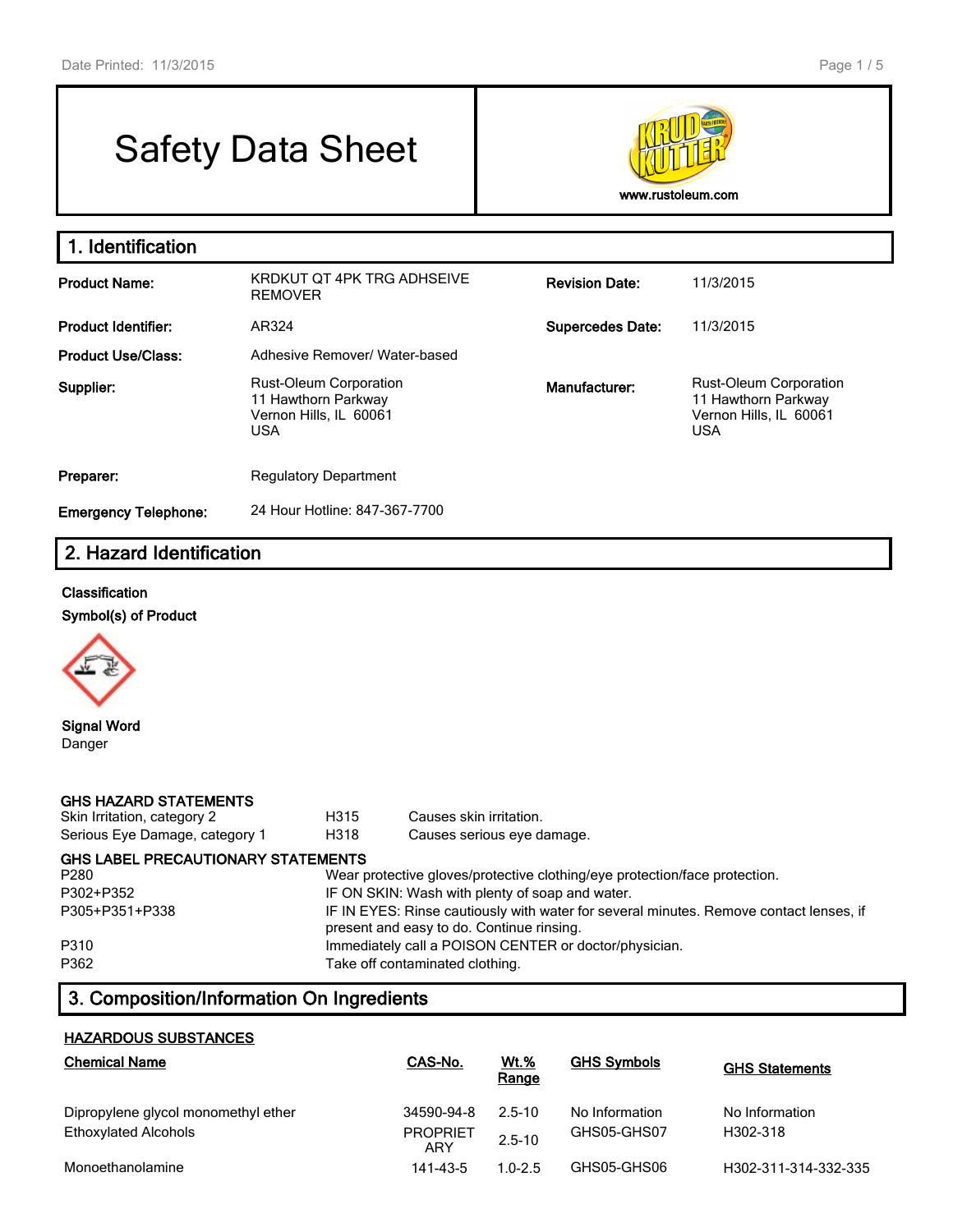# Safety Data Sheet



| 1. Identification           |                                                                                              |                         |                                                                                              |
|-----------------------------|----------------------------------------------------------------------------------------------|-------------------------|----------------------------------------------------------------------------------------------|
| <b>Product Name:</b>        | KRDKUT OT 4PK TRG ADHSEIVE<br><b>REMOVER</b>                                                 | <b>Revision Date:</b>   | 11/3/2015                                                                                    |
| <b>Product Identifier:</b>  | AR324                                                                                        | <b>Supercedes Date:</b> | 11/3/2015                                                                                    |
| <b>Product Use/Class:</b>   | Adhesive Remover/ Water-based                                                                |                         |                                                                                              |
| Supplier:                   | <b>Rust-Oleum Corporation</b><br>11 Hawthorn Parkway<br>Vernon Hills, IL 60061<br><b>USA</b> | Manufacturer:           | <b>Rust-Oleum Corporation</b><br>11 Hawthorn Parkway<br>Vernon Hills, IL 60061<br><b>USA</b> |
| Preparer:                   | <b>Regulatory Department</b>                                                                 |                         |                                                                                              |
| <b>Emergency Telephone:</b> | 24 Hour Hotline: 847-367-7700                                                                |                         |                                                                                              |

# **2. Hazard Identification**

#### **Classification**

**Symbol(s) of Product**



**Signal Word** Danger

| <b>GHS HAZARD STATEMENTS</b><br>Skin Irritation, category 2<br>Serious Eye Damage, category 1 | H315<br>H318                                                                                                                        | Causes skin irritation.<br>Causes serious eye damage.                      |  |  |  |
|-----------------------------------------------------------------------------------------------|-------------------------------------------------------------------------------------------------------------------------------------|----------------------------------------------------------------------------|--|--|--|
| <b>GHS LABEL PRECAUTIONARY STATEMENTS</b>                                                     |                                                                                                                                     |                                                                            |  |  |  |
| P280                                                                                          |                                                                                                                                     | Wear protective gloves/protective clothing/eye protection/face protection. |  |  |  |
| P302+P352                                                                                     |                                                                                                                                     | IF ON SKIN: Wash with plenty of soap and water.                            |  |  |  |
| P305+P351+P338                                                                                | IF IN EYES: Rinse cautiously with water for several minutes. Remove contact lenses, if<br>present and easy to do. Continue rinsing. |                                                                            |  |  |  |
| P310                                                                                          |                                                                                                                                     | Immediately call a POISON CENTER or doctor/physician.                      |  |  |  |
| P362                                                                                          |                                                                                                                                     | Take off contaminated clothing.                                            |  |  |  |

# **3. Composition/Information On Ingredients**

#### **HAZARDOUS SUBSTANCES**

| <b>Chemical Name</b>                | CAS-No.                | <u>Wt.%</u><br>Range | <b>GHS Symbols</b> | <b>GHS Statements</b> |
|-------------------------------------|------------------------|----------------------|--------------------|-----------------------|
| Dipropylene glycol monomethyl ether | 34590-94-8             | 2.5-10               | No Information     | No Information        |
| <b>Ethoxylated Alcohols</b>         | <b>PROPRIET</b><br>ARY | $2.5 - 10$           | GHS05-GHS07        | H302-318              |
| Monoethanolamine                    | 141-43-5               | $1.0 - 2.5$          | GHS05-GHS06        | H302-311-314-332-335  |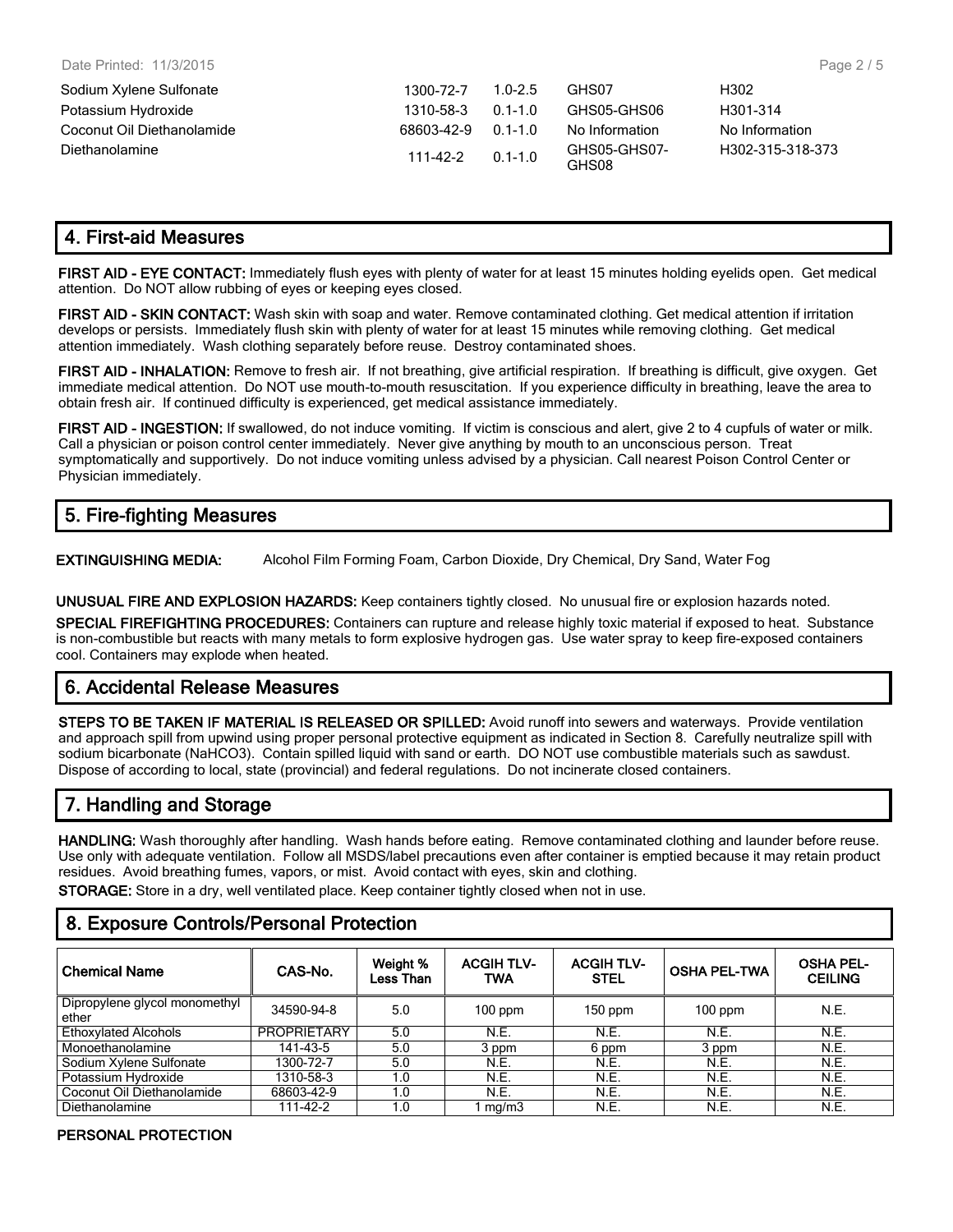| Sodium Xylene Sulfonate    | 1300-72-7  | $1.0 - 2.5$ | GHS07                 | H302             |
|----------------------------|------------|-------------|-----------------------|------------------|
| Potassium Hydroxide        | 1310-58-3  | $0.1 - 1.0$ | GHS05-GHS06           | H301-314         |
| Coconut Oil Diethanolamide | 68603-42-9 | $0.1 - 1.0$ | No Information        | No Information   |
| Diethanolamine             | 111-42-2   | $0.1 - 1.0$ | GHS05-GHS07-<br>GHS08 | H302-315-318-373 |

## **4. First-aid Measures**

**FIRST AID - EYE CONTACT:** Immediately flush eyes with plenty of water for at least 15 minutes holding eyelids open. Get medical attention. Do NOT allow rubbing of eyes or keeping eyes closed.

**FIRST AID - SKIN CONTACT:** Wash skin with soap and water. Remove contaminated clothing. Get medical attention if irritation develops or persists. Immediately flush skin with plenty of water for at least 15 minutes while removing clothing. Get medical attention immediately. Wash clothing separately before reuse. Destroy contaminated shoes.

**FIRST AID - INHALATION:** Remove to fresh air. If not breathing, give artificial respiration. If breathing is difficult, give oxygen. Get immediate medical attention. Do NOT use mouth-to-mouth resuscitation. If you experience difficulty in breathing, leave the area to obtain fresh air. If continued difficulty is experienced, get medical assistance immediately.

**FIRST AID - INGESTION:** If swallowed, do not induce vomiting. If victim is conscious and alert, give 2 to 4 cupfuls of water or milk. Call a physician or poison control center immediately. Never give anything by mouth to an unconscious person. Treat symptomatically and supportively. Do not induce vomiting unless advised by a physician. Call nearest Poison Control Center or Physician immediately.

# **5. Fire-fighting Measures**

**EXTINGUISHING MEDIA:** Alcohol Film Forming Foam, Carbon Dioxide, Dry Chemical, Dry Sand, Water Fog

**UNUSUAL FIRE AND EXPLOSION HAZARDS:** Keep containers tightly closed. No unusual fire or explosion hazards noted.

**SPECIAL FIREFIGHTING PROCEDURES:** Containers can rupture and release highly toxic material if exposed to heat. Substance is non-combustible but reacts with many metals to form explosive hydrogen gas. Use water spray to keep fire-exposed containers cool. Containers may explode when heated.

# **6. Accidental Release Measures**

**STEPS TO BE TAKEN IF MATERIAL IS RELEASED OR SPILLED:** Avoid runoff into sewers and waterways. Provide ventilation and approach spill from upwind using proper personal protective equipment as indicated in Section 8. Carefully neutralize spill with sodium bicarbonate (NaHCO3). Contain spilled liquid with sand or earth. DO NOT use combustible materials such as sawdust. Dispose of according to local, state (provincial) and federal regulations. Do not incinerate closed containers.

# **7. Handling and Storage**

**HANDLING:** Wash thoroughly after handling. Wash hands before eating. Remove contaminated clothing and launder before reuse. Use only with adequate ventilation. Follow all MSDS/label precautions even after container is emptied because it may retain product residues. Avoid breathing fumes, vapors, or mist. Avoid contact with eyes, skin and clothing.

**STORAGE:** Store in a dry, well ventilated place. Keep container tightly closed when not in use.

### **8. Exposure Controls/Personal Protection**

| <b>Chemical Name</b>                   | CAS-No.            | Weight %<br>Less Than | <b>ACGIH TLV-</b><br><b>TWA</b> | <b>ACGIH TLV-</b><br><b>STEL</b> | <b>OSHA PEL-TWA</b> | <b>OSHA PEL-</b><br><b>CEILING</b> |
|----------------------------------------|--------------------|-----------------------|---------------------------------|----------------------------------|---------------------|------------------------------------|
| Dipropylene glycol monomethyl<br>ether | 34590-94-8         | 5.0                   | $100$ ppm                       | $150$ ppm                        | $100$ ppm           | N.E.                               |
| <b>Ethoxylated Alcohols</b>            | <b>PROPRIETARY</b> | 5.0                   | N.E.                            | N.E.                             | N.E.                | N.E.                               |
| Monoethanolamine                       | 141-43-5           | 5.0                   | 3 ppm                           | 6 ppm                            | 3 ppm               | N.E.                               |
| Sodium Xylene Sulfonate                | 1300-72-7          | 5.0                   | N.E.                            | N.E.                             | N.E.                | N.E.                               |
| Potassium Hydroxide                    | 1310-58-3          | 1.0                   | N.E.                            | N.E.                             | N.E.                | N.E.                               |
| Coconut Oil Diethanolamide             | 68603-42-9         | 1.0                   | N.E.                            | N.E.                             | N.E.                | N.E.                               |
| Diethanolamine                         | 111-42-2           | 1.0                   | mg/m3                           | N.E.                             | N.E.                | N.E.                               |

#### **PERSONAL PROTECTION**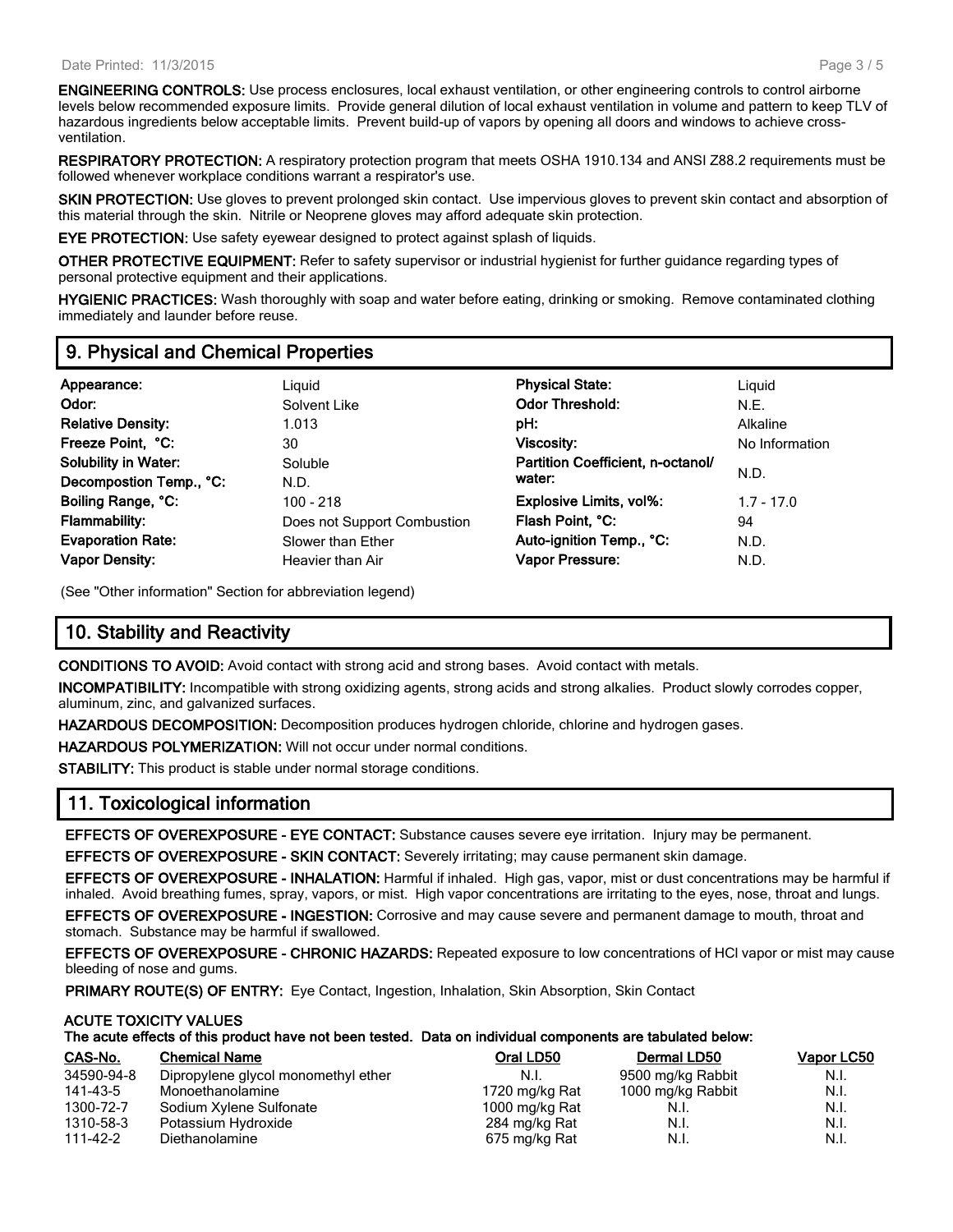**ENGINEERING CONTROLS:** Use process enclosures, local exhaust ventilation, or other engineering controls to control airborne levels below recommended exposure limits. Provide general dilution of local exhaust ventilation in volume and pattern to keep TLV of hazardous ingredients below acceptable limits. Prevent build-up of vapors by opening all doors and windows to achieve crossventilation.

**RESPIRATORY PROTECTION:** A respiratory protection program that meets OSHA 1910.134 and ANSI Z88.2 requirements must be followed whenever workplace conditions warrant a respirator's use.

**SKIN PROTECTION:** Use gloves to prevent prolonged skin contact. Use impervious gloves to prevent skin contact and absorption of this material through the skin. Nitrile or Neoprene gloves may afford adequate skin protection.

**EYE PROTECTION:** Use safety eyewear designed to protect against splash of liquids.

**OTHER PROTECTIVE EQUIPMENT:** Refer to safety supervisor or industrial hygienist for further guidance regarding types of personal protective equipment and their applications.

**HYGIENIC PRACTICES:** Wash thoroughly with soap and water before eating, drinking or smoking. Remove contaminated clothing immediately and launder before reuse.

### **9. Physical and Chemical Properties**

| Appearance:                 | Liguid                      | <b>Physical State:</b>            | Liguid         |
|-----------------------------|-----------------------------|-----------------------------------|----------------|
| Odor:                       | Solvent Like                | <b>Odor Threshold:</b>            | N.E.           |
| <b>Relative Density:</b>    | 1.013                       | pH:                               | Alkaline       |
| Freeze Point, °C:           | 30                          | Viscosity:                        | No Information |
| <b>Solubility in Water:</b> | Soluble                     | Partition Coefficient, n-octanol/ |                |
| Decompostion Temp., °C:     | N.D.                        | water:                            | N.D.           |
| Boiling Range, °C:          | 100 - 218                   | <b>Explosive Limits, vol%:</b>    | $1.7 - 17.0$   |
| <b>Flammability:</b>        | Does not Support Combustion | Flash Point, °C:                  | 94             |
| <b>Evaporation Rate:</b>    | Slower than Ether           | Auto-ignition Temp., °C:          | N.D.           |
| <b>Vapor Density:</b>       | Heavier than Air            | <b>Vapor Pressure:</b>            | N.D.           |
|                             |                             |                                   |                |

(See "Other information" Section for abbreviation legend)

# **10. Stability and Reactivity**

**CONDITIONS TO AVOID:** Avoid contact with strong acid and strong bases. Avoid contact with metals.

**INCOMPATIBILITY:** Incompatible with strong oxidizing agents, strong acids and strong alkalies. Product slowly corrodes copper, aluminum, zinc, and galvanized surfaces.

**HAZARDOUS DECOMPOSITION:** Decomposition produces hydrogen chloride, chlorine and hydrogen gases.

**HAZARDOUS POLYMERIZATION:** Will not occur under normal conditions.

**STABILITY:** This product is stable under normal storage conditions.

### **11. Toxicological information**

**EFFECTS OF OVEREXPOSURE - EYE CONTACT:** Substance causes severe eye irritation. Injury may be permanent.

**EFFECTS OF OVEREXPOSURE - SKIN CONTACT:** Severely irritating; may cause permanent skin damage.

**EFFECTS OF OVEREXPOSURE - INHALATION:** Harmful if inhaled. High gas, vapor, mist or dust concentrations may be harmful if inhaled. Avoid breathing fumes, spray, vapors, or mist. High vapor concentrations are irritating to the eyes, nose, throat and lungs.

**EFFECTS OF OVEREXPOSURE - INGESTION:** Corrosive and may cause severe and permanent damage to mouth, throat and stomach. Substance may be harmful if swallowed.

**EFFECTS OF OVEREXPOSURE - CHRONIC HAZARDS:** Repeated exposure to low concentrations of HCl vapor or mist may cause bleeding of nose and gums.

**PRIMARY ROUTE(S) OF ENTRY:** Eye Contact, Ingestion, Inhalation, Skin Absorption, Skin Contact

#### **ACUTE TOXICITY VALUES**

**The acute effects of this product have not been tested. Data on individual components are tabulated below:**

| CAS-No.    | <b>Chemical Name</b>                | Oral LD50      | Dermal LD50       | Vapor LC50 |
|------------|-------------------------------------|----------------|-------------------|------------|
| 34590-94-8 | Dipropylene glycol monomethyl ether | N.L            | 9500 mg/kg Rabbit | N.I.       |
| 141-43-5   | Monoethanolamine                    | 1720 mg/kg Rat | 1000 mg/kg Rabbit | N.I.       |
| 1300-72-7  | Sodium Xylene Sulfonate             | 1000 mg/kg Rat | N.I.              | N.I.       |
| 1310-58-3  | Potassium Hydroxide                 | 284 mg/kg Rat  | N.I.              | N.I.       |
| 111-42-2   | Diethanolamine                      | 675 mg/kg Rat  | N.I.              | N.I.       |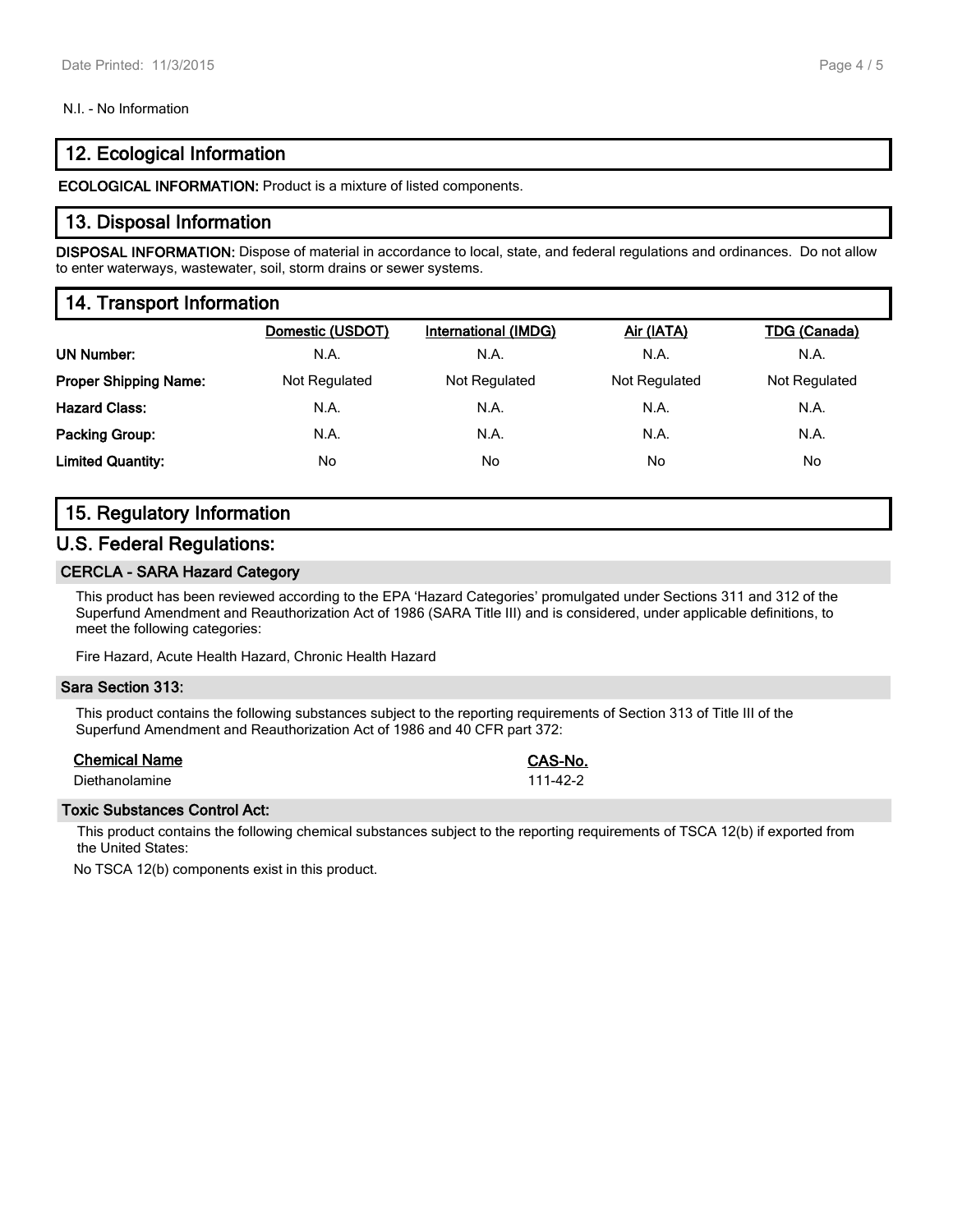#### N.I. - No Information

# **12. Ecological Information**

**ECOLOGICAL INFORMATION:** Product is a mixture of listed components.

#### **13. Disposal Information**

**DISPOSAL INFORMATION:** Dispose of material in accordance to local, state, and federal regulations and ordinances. Do not allow to enter waterways, wastewater, soil, storm drains or sewer systems.

# **14. Transport Information**

|                              | Domestic (USDOT) | <b>International (IMDG)</b> | Air (IATA)    | <b>TDG (Canada)</b> |
|------------------------------|------------------|-----------------------------|---------------|---------------------|
| <b>UN Number:</b>            | N.A.             | N.A.                        | N.A.          | N.A.                |
| <b>Proper Shipping Name:</b> | Not Regulated    | Not Regulated               | Not Regulated | Not Regulated       |
| <b>Hazard Class:</b>         | N.A.             | N.A.                        | N.A.          | N.A.                |
| <b>Packing Group:</b>        | N.A.             | N.A.                        | N.A.          | N.A.                |
| <b>Limited Quantity:</b>     | No               | No.                         | No            | No                  |
|                              |                  |                             |               |                     |

# **15. Regulatory Information**

#### **U.S. Federal Regulations:**

#### **CERCLA - SARA Hazard Category**

This product has been reviewed according to the EPA 'Hazard Categories' promulgated under Sections 311 and 312 of the Superfund Amendment and Reauthorization Act of 1986 (SARA Title III) and is considered, under applicable definitions, to meet the following categories:

Fire Hazard, Acute Health Hazard, Chronic Health Hazard

#### **Sara Section 313:**

This product contains the following substances subject to the reporting requirements of Section 313 of Title III of the Superfund Amendment and Reauthorization Act of 1986 and 40 CFR part 372:

#### **Chemical Name CAS-No.**

Diethanolamine 111-42-2

#### **Toxic Substances Control Act:**

This product contains the following chemical substances subject to the reporting requirements of TSCA 12(b) if exported from the United States:

No TSCA 12(b) components exist in this product.